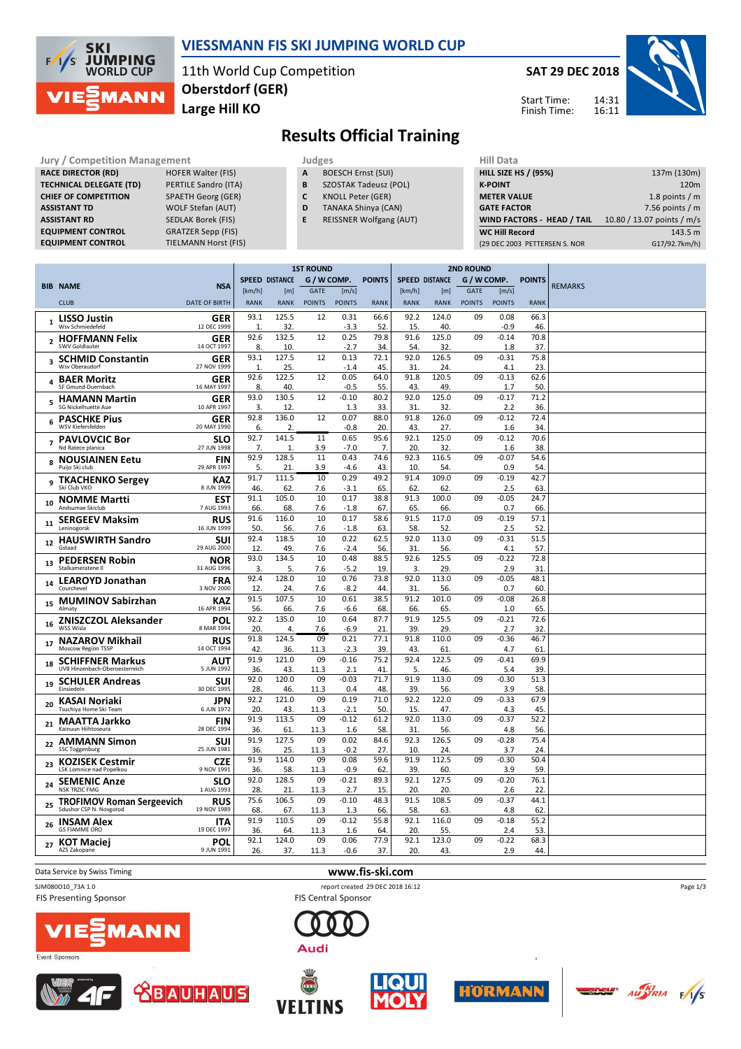

## **VIESSMANN FIS SKI JUMPING WORLD CUP**

11th World Cup Competition **Large Hill KO Oberstdorf (GER)**

**SAT 29 DEC 2018**

14:31 16:11



Start Time: Finish Time:

# **Results Official Training**

| <b>Jury / Competition Management</b> |                             |   | Judges                         | <b>Hill Data</b>   |
|--------------------------------------|-----------------------------|---|--------------------------------|--------------------|
| <b>RACE DIRECTOR (RD)</b>            | <b>HOFER Walter (FIS)</b>   | A | <b>BOESCH Ernst (SUI)</b>      | <b>HILL SIZE H</b> |
| <b>TECHNICAL DELEGATE (TD)</b>       | PERTILE Sandro (ITA)        | B | <b>SZOSTAK Tadeusz (POL)</b>   | <b>K-POINT</b>     |
| <b>CHIEF OF COMPETITION</b>          | <b>SPAETH Georg (GER)</b>   |   | <b>KNOLL Peter (GER)</b>       | <b>METER VA</b>    |
| <b>ASSISTANT TD</b>                  | <b>WOLF Stefan (AUT)</b>    | D | <b>TANAKA Shinya (CAN)</b>     | <b>GATE FACT</b>   |
| <b>ASSISTANT RD</b>                  | <b>SEDLAK Borek (FIS)</b>   | E | <b>REISSNER Wolfgang (AUT)</b> | <b>WIND FAC</b>    |
| <b>EQUIPMENT CONTROL</b>             | <b>GRATZER Sepp (FIS)</b>   |   |                                | <b>WC Hill Re</b>  |
| <b>EQUIPMENT CONTROL</b>             | <b>TIELMANN Horst (FIS)</b> |   |                                | (29 DEC 200        |

| Judges       |                           |
|--------------|---------------------------|
| $\mathbf{A}$ | <b>BOESCH Ernst (SUI)</b> |

- **B** SZOSTAK Tadeusz (POL)
- **C** KNOLL Peter (GER)
	- **D** TANAKA Shinya (CAN)
	- **E** REISSNER Wolfgang (AUT)

| 137m (130m)                |
|----------------------------|
| 120 <sub>m</sub>           |
| 1.8 points $/m$            |
| 7.56 points $/m$           |
| 10.80 / 13.07 points / m/s |
| 143.5 m                    |
| G17/92.7km/h)              |
|                            |

|                |                                                             |                           | <b>1ST ROUND</b>     |                         |               |                | <b>2ND ROUND</b> |                       |              |               |                |               |                |
|----------------|-------------------------------------------------------------|---------------------------|----------------------|-------------------------|---------------|----------------|------------------|-----------------------|--------------|---------------|----------------|---------------|----------------|
|                | <b>BIB NAME</b>                                             | <b>NSA</b>                |                      | <b>SPEED DISTANCE</b>   | G / W COMP.   |                | <b>POINTS</b>    | <b>SPEED DISTANCE</b> |              | G / W COMP.   |                | <b>POINTS</b> | <b>REMARKS</b> |
|                |                                                             |                           | [km/h]               | [m]                     | <b>GATE</b>   | [m/s]          |                  | [km/h]                | [m]          | <b>GATE</b>   | [m/s]          |               |                |
|                | <b>CLUB</b>                                                 | <b>DATE OF BIRTH</b>      | <b>RANK</b>          | <b>RANK</b>             | <b>POINTS</b> | <b>POINTS</b>  | <b>RANK</b>      | <b>RANK</b>           | <b>RANK</b>  | <b>POINTS</b> | <b>POINTS</b>  | <b>RANK</b>   |                |
| $\mathbf{1}$   | <b>LISSO Justin</b><br>Wsv Schmiedefeld                     | <b>GER</b><br>12 DEC 1999 | 93.1<br>$\mathbf{1}$ | 125.5<br>32             | 12            | 0.31<br>$-3.3$ | 66.6<br>52       | 92.2<br>15            | 124.0<br>40. | 09            | 0.08<br>$-0.9$ | 66.3<br>46.   |                |
| $\overline{2}$ | <b>HOFFMANN Felix</b><br>SWV Goldlauter                     | <b>GER</b><br>14 OCT 1997 | 92.6<br>8.           | 132.5<br>10             | 12            | 0.25<br>$-2.7$ | 79.8<br>34       | 91.6<br>54            | 125.0<br>32  | 09            | $-0.14$<br>1.8 | 70.8<br>37.   |                |
| 3              | <b>SCHMID Constantin</b><br>Wsy Oberaudorf                  | <b>GER</b><br>27 NOV 1999 | 93.1<br>$\mathbf{1}$ | 127.5<br>25.            | 12            | 0.13<br>$-1.4$ | 72.1<br>45       | 92.0<br>31            | 126.5<br>24  | 09            | $-0.31$<br>4.1 | 75.8<br>23    |                |
| 4              | <b>BAER Moritz</b><br>SF Gmund-Duernbach                    | <b>GER</b><br>16 MAY 1997 | 92.6<br>8.           | 122.5<br>40             | 12            | 0.05<br>$-0.5$ | 64.0<br>55       | 91.8<br>43            | 120.5<br>49  | 09            | $-0.13$<br>1.7 | 62.6<br>50.   |                |
|                | <b>HAMANN Martin</b><br><b>SG Nickelhuette Aue</b>          | <b>GER</b><br>10 APR 1997 | 93.0<br>3.           | 130.5<br>12             | 12            | $-0.10$<br>1.3 | 80.2<br>33       | 92.0<br>31            | 125.0<br>32. | 09            | $-0.17$<br>2.2 | 71.2<br>36.   |                |
| 6              | <b>PASCHKE Pius</b><br>WSV Kiefersfelden                    | <b>GER</b><br>20 MAY 1990 | 92.8<br>6.           | 136.0<br>$\overline{2}$ | 12            | 0.07<br>$-0.8$ | 88.0<br>20.      | 91.8<br>43.           | 126.0<br>27. | 09            | $-0.12$<br>1.6 | 72.4<br>34.   |                |
| $\overline{7}$ | <b>PAVLOVCIC Bor</b><br>Nd Ratece planica                   | SLO<br>27 JUN 1998        | 92.7<br>7.           | 141.5<br>$\mathbf{1}$   | 11<br>3.9     | 0.65<br>$-7.0$ | 95.6<br>7.       | 92.1<br>20.           | 125.0<br>32. | 09            | $-0.12$<br>1.6 | 70.6<br>38    |                |
| 8              | <b>NOUSIAINEN Eetu</b><br>Puijo Ski club                    | FIN<br>29 APR 1997        | 92.9<br>5.           | 128.5<br>21             | 11<br>3.9     | 0.43<br>$-4.6$ | 74.6<br>43.      | 92.3<br>10.           | 116.5<br>54. | 09            | $-0.07$<br>0.9 | 54.6<br>54    |                |
| 9              | <b>TKACHENKO Sergey</b><br>Ski Club VKO                     | KAZ<br>8 JUN 1999         | 91.7<br>46           | 111.5<br>62             | 10<br>7.6     | 0.29<br>$-3.1$ | 49.2<br>65       | 91.4<br>62            | 109.0<br>62. | 09            | $-0.19$<br>2.5 | 42.7<br>63    |                |
| 10             | <b>NOMME Martti</b><br>Andsumae Skiclub                     | EST<br>7 AUG 1993         | 91.1<br>66.          | 105.0<br>68.            | 10<br>7.6     | 0.17<br>$-1.8$ | 38.8<br>67       | 91.3<br>65.           | 100.0<br>66. | 09            | $-0.05$<br>0.7 | 24.7<br>66.   |                |
| 11             | <b>SERGEEV Maksim</b><br>Leninogorsk                        | <b>RUS</b><br>16 JUN 1999 | 91.6<br>50           | 116.0<br>56.            | 10<br>7.6     | 0.17<br>$-1.8$ | 58.6<br>63       | 91.5<br>58.           | 117.0<br>52  | 09            | $-0.19$<br>2.5 | 57.1<br>52    |                |
|                | 12 HAUSWIRTH Sandro<br>Gstaad                               | SUI<br>29 AUG 2000        | 92.4<br>12.          | 118.5<br>49.            | 10<br>7.6     | 0.22<br>$-2.4$ | 62.5<br>56.      | 92.0<br>31.           | 113.0<br>56. | 09            | $-0.31$<br>4.1 | 51.5<br>57.   |                |
| 13             | <b>PEDERSEN Robin</b><br>Stalkameratene II                  | <b>NOR</b><br>31 AUG 1996 | 93.0<br>3.           | 134.5<br>5.             | 10<br>7.6     | 0.48<br>$-5.2$ | 88.5<br>19       | 92.6<br>3.            | 125.5<br>29  | 09            | $-0.22$<br>2.9 | 72.8<br>31    |                |
| 14             | <b>LEAROYD Jonathan</b><br>Courchevel                       | <b>FRA</b><br>3 NOV 2000  | 92.4<br>12.          | 128.0<br>24.            | 10<br>7.6     | 0.76<br>$-8.2$ | 73.8<br>44       | 92.0<br>31            | 113.0<br>56. | 09            | $-0.05$<br>0.7 | 48.1<br>60.   |                |
| 15             | <b>MUMINOV Sabirzhan</b><br>Almaty                          | <b>KAZ</b><br>16 APR 1994 | 91.5<br>56           | 107.5<br>66             | 10<br>7.6     | 0.61<br>$-6.6$ | 38.5<br>68.      | 91.2<br>66.           | 101.0<br>65  | 09            | $-0.08$<br>1.0 | 26.8<br>65    |                |
| 16             | <b>ZNISZCZOL Aleksander</b><br>WSS Wisla                    | POL<br>8 MAR 1994         | 92.2<br>20           | 135.0<br>4.             | 10<br>7.6     | 0.64<br>$-6.9$ | 87.7<br>21       | 91.9<br>39            | 125.5<br>29  | 09            | $-0.21$<br>2.7 | 72.6<br>32    |                |
| 17             | <b>NAZAROV Mikhail</b><br>Moscow Region TSSP                | <b>RUS</b><br>14 OCT 1994 | 91.8<br>42           | 124.5<br>36.            | 09<br>11.3    | 0.21<br>$-2.3$ | 77.1<br>39       | 91.8<br>43            | 110.0<br>61  | 09            | $-0.36$<br>4.7 | 46.7<br>61    |                |
| 18             | <b>SCHIFFNER Markus</b><br>UVB Hinzenbach-Oberoesterreich   | <b>AUT</b><br>5 JUN 1992  | 91.9<br>36           | 121.0<br>43.            | 09<br>11.3    | $-0.16$<br>2.1 | 75.2<br>41       | 92.4<br>5.            | 122.5<br>46. | 09            | $-0.41$<br>5.4 | 69.9<br>39.   |                |
| 19             | <b>SCHULER Andreas</b><br>Finsiedeln                        | SUI<br>30 DEC 1995        | 92.0<br>28           | 120.0<br>46.            | 09<br>11.3    | $-0.03$<br>0.4 | 71.7<br>48       | 91.9<br>39            | 113.0<br>56. | 09            | $-0.30$<br>3.9 | 51.3<br>58.   |                |
| 20             | <b>KASAI Noriaki</b><br>Tsuchiya Home Ski Team              | <b>JPN</b><br>6 JUN 1972  | 92.2<br>20           | 121.0<br>43             | 09<br>11.3    | 0.19<br>$-2.1$ | 71.0<br>50       | 92.2<br>15            | 122.0<br>47. | 09            | $-0.33$<br>4.3 | 67.9<br>45    |                |
| 21             | <b>MAATTA Jarkko</b><br>Kainuun Hiihtoseura                 | FIN<br>28 DEC 1994        | 91.9<br>36.          | 113.5<br>61.            | 09<br>11.3    | $-0.12$<br>1.6 | 61.2<br>58.      | 92.0<br>31            | 113.0<br>56. | 09            | $-0.37$<br>4.8 | 52.2<br>56.   |                |
| 22             | <b>AMMANN Simon</b><br><b>SSC Toggenburg</b>                | SUI<br>25 JUN 1981        | 91.9<br>36.          | 127.5<br>25             | 09<br>11.3    | 0.02<br>$-0.2$ | 84.6<br>27.      | 92.3<br>10.           | 126.5<br>24. | 09            | $-0.28$<br>3.7 | 75.4<br>24.   |                |
| 23             | <b>KOZISEK Cestmir</b><br><b>LSK Lomnice nad Popelkou</b>   | <b>CZE</b><br>9 NOV 1991  | 91.9<br>36.          | 114.0<br>58.            | 09<br>11.3    | 0.08<br>$-0.9$ | 59.6<br>62       | 91.9<br>39            | 112.5<br>60. | 09            | $-0.30$<br>3.9 | 50.4<br>59.   |                |
| 24             | <b>SEMENIC Anze</b><br><b>NSK TRZIC FMG</b>                 | <b>SLO</b><br>1 AUG 1993  | 92.0<br>28.          | 128.5<br>21             | 09<br>11.3    | $-0.21$<br>2.7 | 89.3<br>15       | 92.1<br>20            | 127.5<br>20. | 09            | $-0.20$<br>2.6 | 76.1<br>22    |                |
| 25             | <b>TROFIMOV Roman Sergeevich</b><br>Sdushor CSP N. Novgorod | <b>RUS</b><br>19 NOV 1989 | 75.6<br>68.          | 106.5<br>67.            | 09<br>11.3    | $-0.10$<br>1.3 | 48.3<br>66.      | 91.5<br>58.           | 108.5<br>63. | 09            | $-0.37$<br>4.8 | 44.1<br>62    |                |
| 26             | <b>INSAM Alex</b><br><b>GS FIAMME ORO</b>                   | <b>ITA</b><br>19 DEC 1997 | 91.9<br>36           | 110.5<br>64.            | 09<br>11.3    | $-0.12$<br>1.6 | 55.8<br>64       | 92.1<br>20.           | 116.0<br>55. | 09            | $-0.18$<br>2.4 | 55.2<br>53.   |                |
| 27             | <b>KOT Maciej</b><br>AZS Zakopane                           | POL<br>9 JUN 1991         | 92.1<br>26.          | 124.0<br>37.            | 09<br>11.3    | 0.06<br>$-0.6$ | 77.9<br>37.      | 92.1<br>20.           | 123.0<br>43. | 09            | $-0.22$<br>2.9 | 68.3<br>44.   |                |
|                |                                                             |                           |                      |                         |               |                |                  |                       |              |               |                |               |                |

Event Sponsors

**FIS Presenting Sponsor** 

1AN



SJM080O10\_73A 1.0 report created 29 DEC 2018 16:12 FIS Central Sponsor













Page 1/3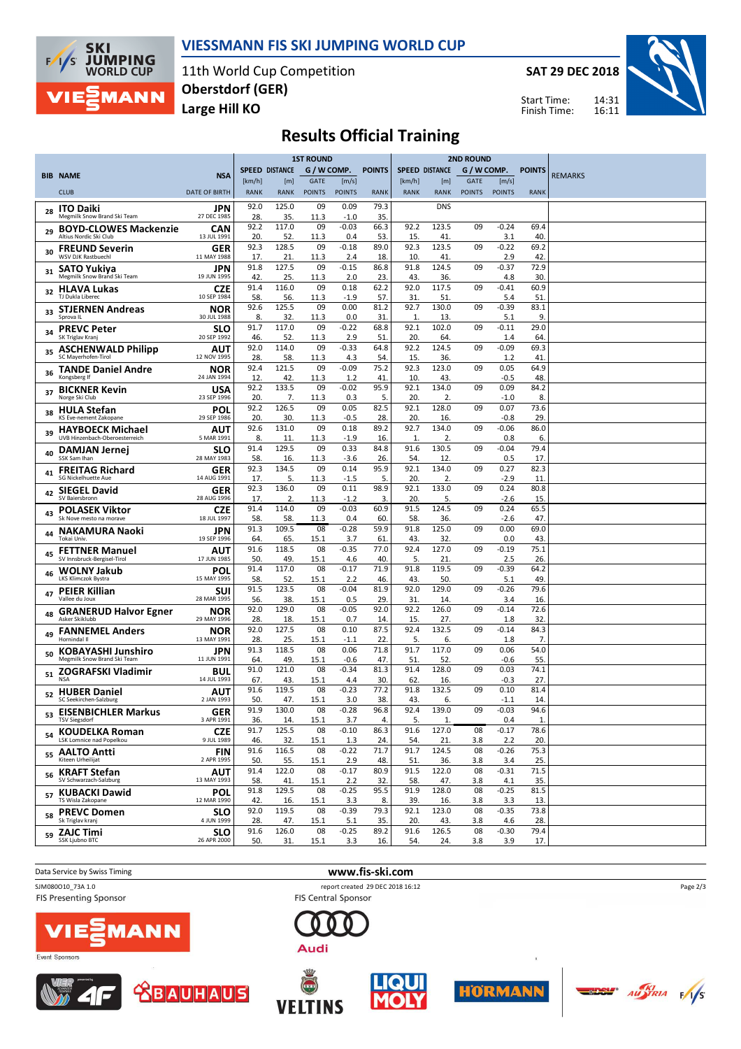

#### **VIESSMANN FIS SKI JUMPING WORLD CUP**

11th World Cup Competition **Large Hill KO Oberstdorf (GER)**

**SAT 29 DEC 2018**

Start Time: Finish Time:



# **Results Official Training**

|                                                                 |                           | <b>1ST ROUND</b>      |                       |                       |                        |               | <b>2ND ROUND</b>      |                    |                              |                        |                        |                |
|-----------------------------------------------------------------|---------------------------|-----------------------|-----------------------|-----------------------|------------------------|---------------|-----------------------|--------------------|------------------------------|------------------------|------------------------|----------------|
| <b>BIB NAME</b>                                                 | <b>NSA</b>                |                       | <b>SPEED DISTANCE</b> | G / W COMP.           |                        | <b>POINTS</b> | <b>SPEED DISTANCE</b> |                    | G / W COMP.                  |                        | <b>POINTS</b>          | <b>REMARKS</b> |
| <b>CLUB</b>                                                     | <b>DATE OF BIRTH</b>      | [km/h]<br><b>RANK</b> | [m]<br><b>RANK</b>    | GATE<br><b>POINTS</b> | [m/s]<br><b>POINTS</b> | <b>RANK</b>   | [km/h]<br><b>RANK</b> | [m]<br><b>RANK</b> | <b>GATE</b><br><b>POINTS</b> | [m/s]<br><b>POINTS</b> | <b>RANK</b>            |                |
| <b>ITO Daiki</b>                                                | <b>JPN</b>                | 92.0                  | 125.0                 | 09                    | 0.09                   | 79.3          |                       | <b>DNS</b>         |                              |                        |                        |                |
| 28<br>Megmilk Snow Brand Ski Team                               | 27 DEC 1985               | 28.<br>92.2           | 35.<br>117.0          | 11.3                  | $-1.0$                 | 35.           |                       |                    |                              |                        |                        |                |
| <b>BOYD-CLOWES Mackenzie</b><br>29<br>Altius Nordic Ski Club    | <b>CAN</b><br>13 JUL 1991 | 20.                   | 52.                   | 09<br>11.3            | $-0.03$<br>0.4         | 66.3<br>53.   | 92.2<br>15.           | 123.5<br>41        | 09                           | $-0.24$<br>3.1         | 69.4<br>40             |                |
| <b>FREUND Severin</b><br>30<br>WSV DJK Rastbuechl               | GER<br>11 MAY 1988        | 92.3<br>17            | 128.5<br>21.          | 09<br>11.3            | $-0.18$<br>2.4         | 89.0<br>18.   | 92.3<br>10.           | 123.5<br>41.       | 09                           | $-0.22$<br>2.9         | 69.2<br>42             |                |
| SATO Yukiya<br>31                                               | JPN                       | 91.8                  | 127.5                 | 09                    | $-0.15$                | 86.8          | 91.8                  | 124.5              | 09                           | $-0.37$                | 72.9                   |                |
| Megmilk Snow Brand Ski Team<br><b>HLAVA Lukas</b>               | 19 JUN 1995<br>CZE        | 42<br>91.4            | 25.<br>116.0          | 11.3<br>09            | 2.0<br>0.18            | 23.<br>62.2   | 43.<br>92.0           | 36.<br>117.5       | 09                           | 4.8<br>$-0.41$         | 30<br>60.9             |                |
| 32<br>TJ Dukla Liberec                                          | 10 SEP 1984               | 58.                   | 56.                   | 11.3                  | $-1.9$                 | 57.           | 31                    | 51                 |                              | 5.4                    | 51                     |                |
| <b>STJERNEN Andreas</b><br>33<br>Sprova IL                      | NOR<br>30 JUL 1988        | 92.6<br>8.            | 125.5<br>32.          | 09<br>11.3            | 0.00<br>0.0            | 81.2<br>31.   | 92.7<br>1.            | 130.0<br>13.       | 09                           | $-0.39$<br>5.1         | 83.1<br>9              |                |
| <b>PREVC Peter</b><br>34<br>SK Triglav Kranj                    | <b>SLO</b><br>20 SEP 1992 | 91.7<br>46.           | 117.0<br>52.          | 09<br>11.3            | $-0.22$<br>2.9         | 68.8<br>51    | 92.1<br>20.           | 102.0<br>64.       | 09                           | $-0.11$<br>1.4         | 29.0<br>64             |                |
| <b>ASCHENWALD Philipp</b><br>35                                 | AUT                       | 92.0                  | 114.0                 | 09                    | $-0.33$                | 64.8          | 92.2                  | 124.5              | 09                           | $-0.09$                | 69.3                   |                |
| SC Mayerhofen-Tirol<br><b>TANDE Daniel Andre</b>                | 12 NOV 1995<br>NOR        | 28.<br>92.4           | 58.<br>121.5          | 11.3<br>09            | 4.3<br>$-0.09$         | 54.<br>75.2   | 15.<br>92.3           | 36.<br>123.0       | 09                           | 1.2<br>0.05            | 41<br>64.9             |                |
| 36<br>Kongsberg If                                              | 24 JAN 1994               | 12                    | 42.                   | 11.3                  | 1.2                    | 41            | 10.                   | 43.                |                              | -0.5                   | 48                     |                |
| <b>BICKNER Kevin</b><br>37<br>Norge Ski Club                    | USA<br>23 SEP 1996        | 92.2<br>20.           | 133.5<br>7.           | 09<br>11.3            | $-0.02$<br>0.3         | 95.9<br>5.    | 92.1<br>20.           | 134.0<br>2.        | 09                           | 0.09<br>$-1.0$         | 84.2<br>8              |                |
| <b>HULA Stefan</b><br>38<br>KS Eve-nement Zakopane              | POL<br>29 SEP 1986        | 92.2<br>20.           | 126.5<br>30.          | 09<br>11.3            | 0.05<br>$-0.5$         | 82.5<br>28.   | 92.1<br>20.           | 128.0<br>16.       | 09                           | 0.07<br>-0.8           | 73.6<br>29             |                |
| <b>HAYBOECK Michael</b><br>39                                   | AUT                       | 92.6                  | 131.0                 | 09                    | 0.18                   | 89.2          | 92.7                  | 134.0              | 09                           | $-0.06$                | 86.0                   |                |
| UVB Hinzenbach-Oberoesterreich<br><b>DAMJAN Jernej</b>          | 5 MAR 1991<br><b>SLO</b>  | 8.<br>91.4            | 11<br>129.5           | 11.3<br>09            | $-1.9$<br>0.33         | 16.<br>84.8   | 1.<br>91.6            | 2.<br>130.5        | 09                           | 0.8<br>$-0.04$         | 6<br>79.4              |                |
| 40<br>SSK Sam Ihan                                              | 28 MAY 1983               | 58.                   | 16.                   | 11.3                  | $-3.6$                 | 26.           | 54.                   | 12.                |                              | 0.5                    | 17                     |                |
| <b>FREITAG Richard</b><br>41<br>SG Nickelhuette Aue             | GER<br>14 AUG 1991        | 92.3<br>17.           | 134.5<br>5.           | 09<br>11.3            | 0.14<br>$-1.5$         | 95.9<br>5.    | 92.1<br>20.           | 134.0<br>2.        | 09                           | 0.27<br>$-2.9$         | 82.3<br>11             |                |
| <b>SIEGEL David</b><br>42<br>SV Baiersbronn                     | <b>GER</b><br>28 AUG 1996 | 92.3<br>17.           | 136.0<br>2.           | 09<br>11.3            | 0.11<br>$-1.2$         | 98.9<br>3.    | 92.1<br>20.           | 133.0<br>5.        | 09                           | 0.24<br>$-2.6$         | 80.8<br>15             |                |
| <b>POLASEK Viktor</b><br>43                                     | <b>CZE</b>                | 91.4                  | 114.0                 | 09                    | $-0.03$                | 60.9          | 91.5                  | 124.5              | 09                           | 0.24                   | 65.5                   |                |
| Sk Nove mesto na morave<br><b>NAKAMURA Naoki</b>                | 18 JUL 1997<br>JPN        | 58.<br>91.3           | 58.<br>109.5          | 11.3<br>08            | 0.4<br>$-0.28$         | 60.<br>59.9   | 58.<br>91.8           | 36.<br>125.0       | 09                           | $-2.6$<br>0.00         | 47<br>69.0             |                |
| 44<br>Tokai Univ.                                               | 19 SEP 1996               | 64                    | 65                    | 15.1                  | 3.7                    | 61            | 43.                   | 32.                |                              | 0.0                    | 43                     |                |
| <b>FETTNER Manuel</b><br>45<br>SV Innsbruck-Bergisel-Tirol      | AUT<br>17 JUN 1985        | 91.6<br>50.           | 118.5<br>49.          | 08<br>15.1            | $-0.35$<br>4.6         | 77.0<br>40.   | 92.4<br>5.            | 127.0<br>21        | 09                           | $-0.19$<br>2.5         | 75.1<br>26             |                |
| <b>WOLNY Jakub</b><br>46<br>LKS Klimczok Bystra                 | POL<br>15 MAY 1995        | 91.4<br>58.           | 117.0<br>52.          | 08<br>15.1            | $-0.17$<br>2.2         | 71.9<br>46.   | 91.8<br>43.           | 119.5<br>50.       | 09                           | $-0.39$<br>5.1         | 64.2<br>49             |                |
| <b>PEIER Killian</b><br>47                                      | SUI                       | 91.5                  | 123.5                 | 08                    | $-0.04$                | 81.9          | 92.0                  | 129.0              | 09                           | $-0.26$                | 79.6                   |                |
| Vallee du Joux<br><b>GRANERUD Halvor Egner</b>                  | 28 MAR 1995<br>NOR        | 56.<br>92.0           | 38.<br>129.0          | 15.1<br>08            | 0.5<br>$-0.05$         | 29.<br>92.0   | 31<br>92.2            | 14<br>126.0        | 09                           | 3.4<br>$-0.14$         | 16<br>72.6             |                |
| 48<br>Asker Skiklubb                                            | 29 MAY 1996               | 28.                   | 18.                   | 15.1                  | 0.7                    | 14.           | 15.                   | 27.                |                              | 1.8                    | 32                     |                |
| <b>FANNEMEL Anders</b><br>49<br>Hornindal II                    | NOR<br>13 MAY 1991        | 92.0<br>28.           | 127.5<br>25.          | 08<br>15.1            | 0.10<br>$-1.1$         | 87.5<br>22.   | 92.4<br>5.            | 132.5<br>6.        | 09                           | $-0.14$<br>1.8         | 84.3<br>7 <sub>2</sub> |                |
| <b>KOBAYASHI Junshiro</b><br>50<br>Megmilk Snow Brand Ski Team  | JPN<br>11 JUN 1991        | 91.3<br>64            | 118.5<br>49.          | 08<br>15.1            | 0.06<br>$-0.6$         | 71.8<br>47.   | 91.7<br>51            | 117.0<br>52.       | 09                           | 0.06<br>-0.6           | 54.0<br>55             |                |
| ZOGRAFSKI Vladimir<br>51                                        | BUL                       | 91.0                  | 121.0                 | 08                    | $-0.34$                | 81.3          | 91.4                  | 128.0              | 09                           | 0.03                   | 74.1                   |                |
| <b>NSA</b><br><b>HUBER Daniel</b>                               | 14 JUL 1993<br>AUT        | 67<br>91.6            | 43.<br>119.5          | 15.1<br>08            | 4.4<br>$-0.23$         | 30.<br>77.2   | 62<br>91.8            | 16.<br>132.5       | 09                           | $-0.3$<br>0.10         | 27<br>81.4             |                |
| 52<br>SC Seekirchen-Salzburg                                    | 2 JAN 1993                | 50.                   | 47.                   | 15.1                  | 3.0                    | 38.           | 43.                   | 6.                 |                              | $-1.1$                 | 14<br>94.6             |                |
| <b>EISENBICHLER Markus</b><br>53<br><b>TSV Siegsdorf</b>        | GER<br>3 APR 1991         | 91.9<br>36.           | 130.0<br>14.          | 08<br>15.1            | $-0.28$<br>3.7         | 96.8<br>4.    | 92.4<br>5.            | 139.0<br>1.        | 09                           | $-0.03$<br>0.4         | $\mathbf{1}$           |                |
| <sub>54</sub> KOUDELKA Roman<br><b>LSK Lomnice nad Popelkou</b> | <b>CZE</b><br>9 JUL 1989  | 91.7<br>46.           | 125.5<br>32.          | 08<br>15.1            | $-0.10$<br>1.3         | 86.3<br>24.   | 91.6<br>54.           | 127.0<br>21.       | 08<br>3.8                    | $-0.17$<br>2.2         | 78.6<br>20.            |                |
| <b>AALTO Antti</b><br>55                                        | <b>FIN</b>                | 91.6                  | 116.5                 | 08                    | $-0.22$                | 71.7          | 91.7                  | 124.5              | 08                           | $-0.26$                | 75.3                   |                |
| Kiteen Urheilijat<br><b>KRAFT Stefan</b>                        | 2 APR 1995<br>AUT         | 50.<br>91.4           | 55.<br>122.0          | 15.1<br>08            | 2.9<br>$-0.17$         | 48.<br>80.9   | 51.<br>91.5           | 36.<br>122.0       | 3.8<br>08                    | 3.4<br>$-0.31$         | 25.<br>71.5            |                |
| 56<br>SV Schwarzach-Salzburg                                    | 13 MAY 1993               | 58.<br>91.8           | 41.                   | 15.1                  | 2.2                    | 32.<br>95.5   | 58.<br>91.9           | 47.<br>128.0       | 3.8                          | 4.1<br>$-0.25$         | 35.                    |                |
| 57 KUBACKI Dawid<br>TS Wisla Zakopane                           | POL<br>12 MAR 1990        | 42.                   | 129.5<br>16.          | 08<br>15.1            | $-0.25$<br>3.3         | 8.            | 39.                   | 16.                | 08<br>3.8                    | 3.3                    | 81.5<br>13             |                |
| <b>PREVC Domen</b><br>58<br>Sk Triglav krani                    | <b>SLO</b><br>4 JUN 1999  | 92.0<br>28.           | 119.5<br>47.          | 08<br>15.1            | $-0.39$<br>5.1         | 79.3<br>35.   | 92.1<br>20.           | 123.0<br>43.       | 08<br>3.8                    | $-0.35$<br>4.6         | 73.8<br>28.            |                |
| <b>ZAJC Timi</b><br>59                                          | <b>SLO</b>                | 91.6                  | 126.0                 | 08                    | $-0.25$                | 89.2          | 91.6                  | 126.5              | 08                           | $-0.30$                | 79.4                   |                |
| SSK Ljubno BTC                                                  | 26 APR 2000               | 50.                   | 31.                   | 15.1                  | 3.3                    | 16.           | 54.                   | 24.                | 3.8                          | 3.9                    | 17.                    |                |

Data Service by Swiss Timing **www.fis-ski.com**

SJM080O10\_73A 1.0 report created 29 DEC 2018 16:12<br>FIS Presenting Sponsor report created 29 DEC 2018 16:12 **FIS Presenting Sponsor** 









Audi







Page 2/3